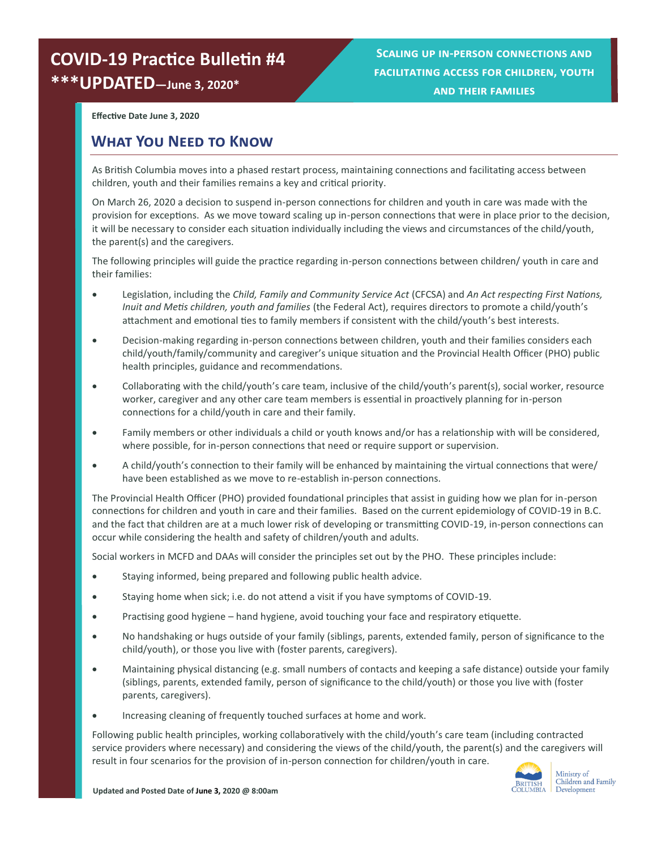## **COVID-19 Practice Bulletin #4 \*\*\*UPDATED—June 3, 2020\***

**Scaling up in-person connections and facilitating access for children, youth and their families**

**Effective Date June 3, 2020**

#### **What You Need to Know**

As British Columbia moves into a phased restart process, maintaining connections and facilitating access between children, youth and their families remains a key and critical priority.

On March 26, 2020 a decision to suspend in-person connections for children and youth in care was made with the provision for exceptions. As we move toward scaling up in-person connections that were in place prior to the decision, it will be necessary to consider each situation individually including the views and circumstances of the child/youth, the parent(s) and the caregivers.

The following principles will guide the practice regarding in-person connections between children/ youth in care and their families:

- Legislation, including the *Child, Family and Community Service Act* (CFCSA) and *An Act respecting First Nations, Inuit and Metis children, youth and families* (the Federal Act), requires directors to promote a child/youth's attachment and emotional ties to family members if consistent with the child/youth's best interests.
- Decision-making regarding in-person connections between children, youth and their families considers each child/youth/family/community and caregiver's unique situation and the Provincial Health Officer (PHO) public health principles, guidance and recommendations.
- Collaborating with the child/youth's care team, inclusive of the child/youth's parent(s), social worker, resource worker, caregiver and any other care team members is essential in proactively planning for in-person connections for a child/youth in care and their family.
- Family members or other individuals a child or youth knows and/or has a relationship with will be considered, where possible, for in-person connections that need or require support or supervision.
- A child/youth's connection to their family will be enhanced by maintaining the virtual connections that were/ have been established as we move to re-establish in-person connections.

The Provincial Health Officer (PHO) provided foundational principles that assist in guiding how we plan for in-person connections for children and youth in care and their families. Based on the current epidemiology of COVID-19 in B.C. and the fact that children are at a much lower risk of developing or transmitting COVID-19, in-person connections can occur while considering the health and safety of children/youth and adults.

Social workers in MCFD and DAAs will consider the principles set out by the PHO. These principles include:

- Staying informed, being prepared and following public health advice.
- Staying home when sick; i.e. do not attend a visit if you have symptoms of COVID-19.
- Practising good hygiene hand hygiene, avoid touching your face and respiratory etiquette.
- No handshaking or hugs outside of your family (siblings, parents, extended family, person of significance to the child/youth), or those you live with (foster parents, caregivers).
- Maintaining physical distancing (e.g. small numbers of contacts and keeping a safe distance) outside your family (siblings, parents, extended family, person of significance to the child/youth) or those you live with (foster parents, caregivers).
- Increasing cleaning of frequently touched surfaces at home and work.

Following public health principles, working collaboratively with the child/youth's care team (including contracted service providers where necessary) and considering the views of the child/youth, the parent(s) and the caregivers will result in four scenarios for the provision of in-person connection for children/youth in care.

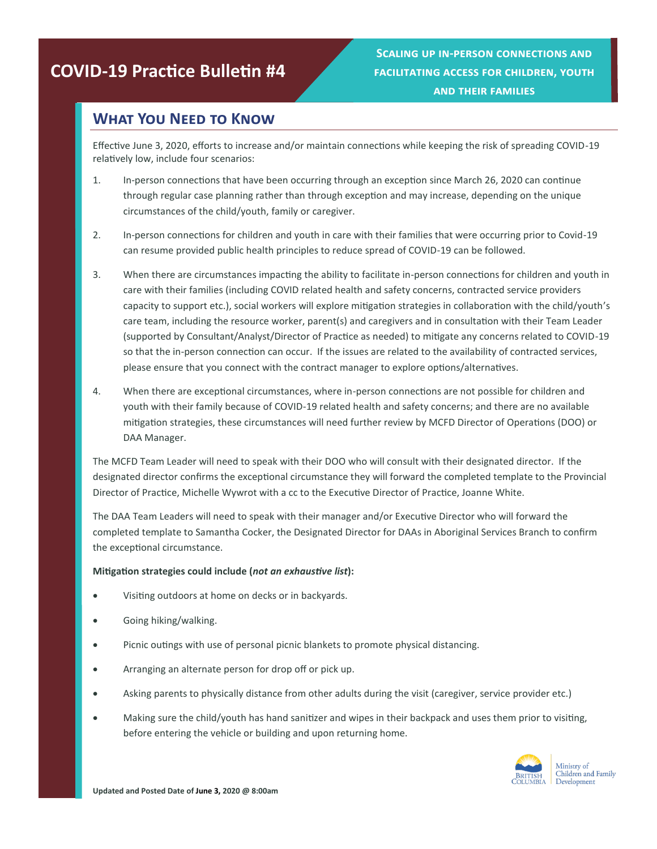# **COVID-19 Practice Bulletin #4**

**Scaling up in-person connections and facilitating access for children, youth and their families**

### **What You Need to Know**

Effective June 3, 2020, efforts to increase and/or maintain connections while keeping the risk of spreading COVID-19 relatively low, include four scenarios:

- 1. In-person connections that have been occurring through an exception since March 26, 2020 can continue through regular case planning rather than through exception and may increase, depending on the unique circumstances of the child/youth, family or caregiver.
- 2. In-person connections for children and youth in care with their families that were occurring prior to Covid-19 can resume provided public health principles to reduce spread of COVID-19 can be followed.
- 3. When there are circumstances impacting the ability to facilitate in-person connections for children and youth in care with their families (including COVID related health and safety concerns, contracted service providers capacity to support etc.), social workers will explore mitigation strategies in collaboration with the child/youth's care team, including the resource worker, parent(s) and caregivers and in consultation with their Team Leader (supported by Consultant/Analyst/Director of Practice as needed) to mitigate any concerns related to COVID-19 so that the in-person connection can occur. If the issues are related to the availability of contracted services, please ensure that you connect with the contract manager to explore options/alternatives.
- 4. When there are exceptional circumstances, where in-person connections are not possible for children and youth with their family because of COVID-19 related health and safety concerns; and there are no available mitigation strategies, these circumstances will need further review by MCFD Director of Operations (DOO) or DAA Manager.

The MCFD Team Leader will need to speak with their DOO who will consult with their designated director. If the designated director confirms the exceptional circumstance they will forward the completed template to the Provincial Director of Practice, Michelle Wywrot with a cc to the Executive Director of Practice, Joanne White.

The DAA Team Leaders will need to speak with their manager and/or Executive Director who will forward the completed template to Samantha Cocker, the Designated Director for DAAs in Aboriginal Services Branch to confirm the exceptional circumstance.

#### **Mitigation strategies could include (***not an exhaustive list***):**

- Visiting outdoors at home on decks or in backyards.
- Going hiking/walking.
- Picnic outings with use of personal picnic blankets to promote physical distancing.
- Arranging an alternate person for drop off or pick up.
- Asking parents to physically distance from other adults during the visit (caregiver, service provider etc.)
- Making sure the child/youth has hand sanitizer and wipes in their backpack and uses them prior to visiting, before entering the vehicle or building and upon returning home.